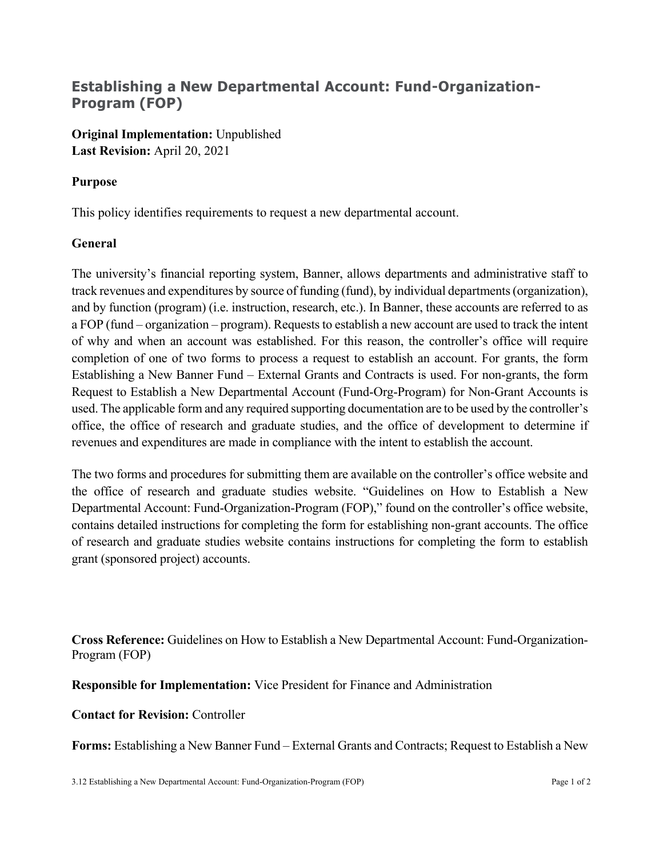## **Establishing a New Departmental Account: Fund-Organization-Program (FOP)**

**Original Implementation:** Unpublished **Last Revision:** April 20, 2021

## **Purpose**

This policy identifies requirements to request a new departmental account.

## **General**

The university's financial reporting system, Banner, allows departments and administrative staff to track revenues and expenditures by source of funding (fund), by individual departments (organization), and by function (program) (i.e. instruction, research, etc.). In Banner, these accounts are referred to as a FOP (fund – organization – program). Requests to establish a new account are used to track the intent of why and when an account was established. For this reason, the controller's office will require completion of one of two forms to process a request to establish an account. For grants, the form Establishing a New Banner Fund – External Grants and Contracts is used. For non-grants, the form Request to Establish a New Departmental Account (Fund-Org-Program) for Non-Grant Accounts is used. The applicable form and any required supporting documentation are to be used by the controller's office, the office of research and graduate studies, and the office of development to determine if revenues and expenditures are made in compliance with the intent to establish the account.

The two forms and procedures for submitting them are available on the controller's office website and the office of research and graduate studies website. "Guidelines on How to Establish a New Departmental Account: Fund-Organization-Program (FOP)," found on the controller's office website, contains detailed instructions for completing the form for establishing non-grant accounts. The office of research and graduate studies website contains instructions for completing the form to establish grant (sponsored project) accounts.

**Cross Reference:** Guidelines on How to Establish a New Departmental Account: Fund-Organization-Program (FOP)

**Responsible for Implementation:** Vice President for Finance and Administration

## **Contact for Revision:** Controller

**Forms:** Establishing a New Banner Fund – External Grants and Contracts; Request to Establish a New